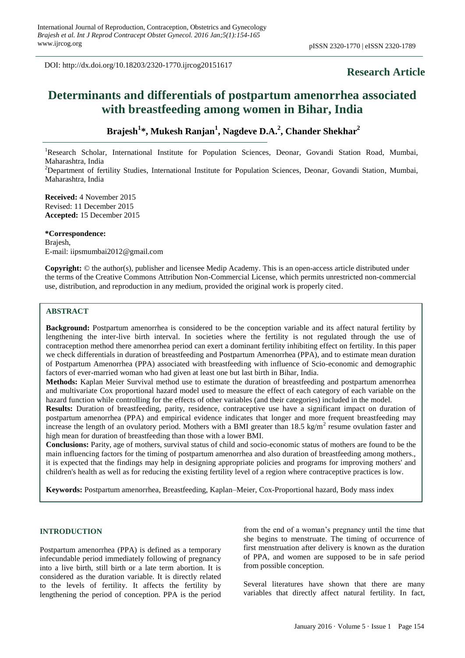DOI: http://dx.doi.org/10.18203/2320-1770.ijrcog20151617

# **Research Article**

# **Determinants and differentials of postpartum amenorrhea associated with breastfeeding among women in Bihar, India**

# **Brajesh<sup>1</sup> \*, Mukesh Ranjan<sup>1</sup> , Nagdeve D.A.<sup>2</sup> , Chander Shekhar 2**

<sup>1</sup>Research Scholar, International Institute for Population Sciences, Deonar, Govandi Station Road, Mumbai, Maharashtra, India

<sup>2</sup>Department of fertility Studies, International Institute for Population Sciences, Deonar, Govandi Station, Mumbai, Maharashtra, India

**Received:** 4 November 2015 Revised: 11 December 2015 **Accepted:** 15 December 2015

**\*Correspondence:** Brajesh, E-mail: iipsmumbai2012@gmail.com

**Copyright:** © the author(s), publisher and licensee Medip Academy. This is an open-access article distributed under the terms of the Creative Commons Attribution Non-Commercial License, which permits unrestricted non-commercial use, distribution, and reproduction in any medium, provided the original work is properly cited.

# **ABSTRACT**

**Background:** Postpartum amenorrhea is considered to be the conception variable and its affect natural fertility by lengthening the inter-live birth interval. In societies where the fertility is not regulated through the use of contraception method there amenorrhea period can exert a dominant fertility inhibiting effect on fertility. In this paper we check differentials in duration of breastfeeding and Postpartum Amenorrhea (PPA), and to estimate mean duration of Postpartum Amenorrhea (PPA) associated with breastfeeding with influence of Scio-economic and demographic factors of ever-married woman who had given at least one but last birth in Bihar, India.

**Methods:** Kaplan Meier Survival method use to estimate the duration of breastfeeding and postpartum amenorrhea and multivariate Cox proportional hazard model used to measure the effect of each category of each variable on the hazard function while controlling for the effects of other variables (and their categories) included in the model.

**Results:** Duration of breastfeeding, parity, residence, contraceptive use have a significant impact on duration of postpartum amenorrhea (PPA) and empirical evidence indicates that longer and more frequent breastfeeding may increase the length of an ovulatory period. Mothers with a BMI greater than  $18.5 \text{ kg/m}^2$  resume ovulation faster and high mean for duration of breastfeeding than those with a lower BMI.

**Conclusions:** Parity, age of mothers, survival status of child and socio-economic status of mothers are found to be the main influencing factors for the timing of postpartum amenorrhea and also duration of breastfeeding among mothers., it is expected that the findings may help in designing appropriate policies and programs for improving mothers' and children's health as well as for reducing the existing fertility level of a region where contraceptive practices is low.

**Keywords:** Postpartum amenorrhea, Breastfeeding, Kaplan–Meier, Cox-Proportional hazard, Body mass index

#### **INTRODUCTION**

Postpartum amenorrhea (PPA) is defined as a temporary infecundable period immediately following of pregnancy into a live birth, still birth or a late term abortion. It is considered as the duration variable. It is directly related to the levels of fertility. It affects the fertility by lengthening the period of conception. PPA is the period from the end of a woman's pregnancy until the time that she begins to menstruate. The timing of occurrence of first menstruation after delivery is known as the duration of PPA, and women are supposed to be in safe period from possible conception.

Several literatures have shown that there are many variables that directly affect natural fertility. In fact,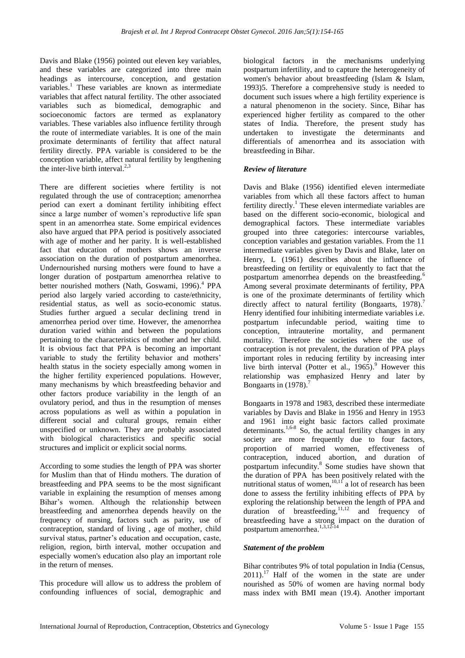Davis and Blake (1956) pointed out eleven key variables, and these variables are categorized into three main headings as intercourse, conception, and gestation variables.<sup>1</sup> These variables are known as intermediate variables that affect natural fertility. The other associated variables such as biomedical, demographic and socioeconomic factors are termed as explanatory variables. These variables also influence fertility through the route of intermediate variables. It is one of the main proximate determinants of fertility that affect natural fertility directly. PPA variable is considered to be the conception variable, affect natural fertility by lengthening the inter-live birth interval.<sup>2,3</sup>

There are different societies where fertility is not regulated through the use of contraception; amenorrhea period can exert a dominant fertility inhibiting effect since a large number of women's reproductive life span spent in an amenorrhea state. Some empirical evidences also have argued that PPA period is positively associated with age of mother and her parity. It is well-established fact that education of mothers shows an inverse association on the duration of postpartum amenorrhea. Undernourished nursing mothers were found to have a longer duration of postpartum amenorrhea relative to better nourished mothers (Nath, Goswami, 1996).<sup>4</sup> PPA period also largely varied according to caste/ethnicity, residential status, as well as socio-economic status. Studies further argued a secular declining trend in amenorrhea period over time. However, the amenorrhea duration varied within and between the populations pertaining to the characteristics of mother and her child. It is obvious fact that PPA is becoming an important variable to study the fertility behavior and mothers' health status in the society especially among women in the higher fertility experienced populations. However, many mechanisms by which breastfeeding behavior and other factors produce variability in the length of an ovulatory period, and thus in the resumption of menses across populations as well as within a population in different social and cultural groups, remain either unspecified or unknown. They are probably associated with biological characteristics and specific social structures and implicit or explicit social norms.

According to some studies the length of PPA was shorter for Muslim than that of Hindu mothers. The duration of breastfeeding and PPA seems to be the most significant variable in explaining the resumption of menses among Bihar's women. Although the relationship between breastfeeding and amenorrhea depends heavily on the frequency of nursing, factors such as parity, use of contraception, standard of living , age of mother, child survival status, partner's education and occupation, caste, religion, region, birth interval, mother occupation and especially women's education also play an important role in the return of menses.

This procedure will allow us to address the problem of confounding influences of social, demographic and biological factors in the mechanisms underlying postpartum infertility, and to capture the heterogeneity of women's behavior about breastfeeding (Islam & Islam, 1993)5. Therefore a comprehensive study is needed to document such issues where a high fertility experience is a natural phenomenon in the society. Since, Bihar has experienced higher fertility as compared to the other states of India. Therefore, the present study has undertaken to investigate the determinants and differentials of amenorrhea and its association with breastfeeding in Bihar.

# *Review of literature*

Davis and Blake (1956) identified eleven intermediate variables from which all these factors affect to human fertility directly.<sup>1</sup> These eleven intermediate variables are based on the different socio-economic, biological and demographical factors. These intermediate variables grouped into three categories: intercourse variables, conception variables and gestation variables. From the 11 intermediate variables given by Davis and Blake, later on Henry, L (1961) describes about the influence of breastfeeding on fertility or equivalently to fact that the postpartum amenorrhea depends on the breastfeeding.<sup>6</sup> Among several proximate determinants of fertility, PPA is one of the proximate determinants of fertility which directly affect to natural fertility (Bongaarts, 1978).<sup>7</sup> Henry identified four inhibiting intermediate variables i.e. postpartum infecundable period, waiting time to conception, intrauterine mortality, and permanent mortality. Therefore the societies where the use of contraception is not prevalent, the duration of PPA plays important roles in reducing fertility by increasing inter live birth interval (Potter et al., 1965).<sup>9</sup> However this relationship was emphasized Henry and later by Bongaarts in (1978). 7

Bongaarts in 1978 and 1983, described these intermediate variables by Davis and Blake in 1956 and Henry in 1953 and 1961 into eight basic factors called proximate determinants.<sup>1,6-8</sup> So, the actual fertility changes in any society are more frequently due to four factors, proportion of married women, effectiveness of contraception, induced abortion, and duration of postpartum infecundity.<sup>8</sup> Some studies have shown that the duration of PPA has been positively related with the nutritional status of women,  $10,11$  a lot of research has been done to assess the fertility inhibiting effects of PPA by exploring the relationship between the length of PPA and duration of breastfeeding,<sup>11,12</sup> and frequency of breastfeeding have a strong impact on the duration of postpartum amenorrhea. 1,3,12-14

# *Statement of the problem*

Bihar contributes 9% of total population in India (Census, 2011).<sup>17</sup> Half of the women in the state are under nourished as 50% of women are having normal body mass index with BMI mean (19.4). Another important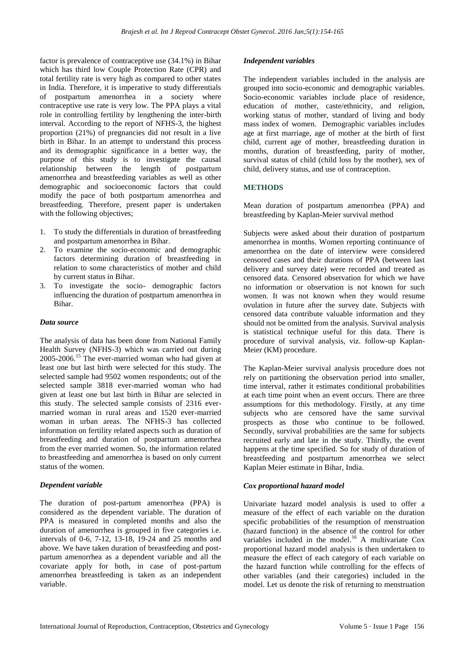factor is prevalence of contraceptive use (34.1%) in Bihar which has third low Couple Protection Rate (CPR) and total fertility rate is very high as compared to other states in India. Therefore, it is imperative to study differentials of postpartum amenorrhea in a society where contraceptive use rate is very low. The PPA plays a vital role in controlling fertility by lengthening the inter-birth interval. According to the report of NFHS-3, the highest proportion (21%) of pregnancies did not result in a live birth in Bihar. In an attempt to understand this process and its demographic significance in a better way, the purpose of this study is to investigate the causal relationship between the length of postpartum amenorrhea and breastfeeding variables as well as other demographic and socioeconomic factors that could modify the pace of both postpartum amenorrhea and breastfeeding. Therefore, present paper is undertaken with the following objectives;

- 1. To study the differentials in duration of breastfeeding and postpartum amenorrhea in Bihar.
- 2. To examine the socio-economic and demographic factors determining duration of breastfeeding in relation to some characteristics of mother and child by current status in Bihar.
- 3. To investigate the socio- demographic factors influencing the duration of postpartum amenorrhea in Bihar.

# *Data source*

The analysis of data has been done from National Family Health Survey (NFHS-3) which was carried out during 2005-2006.<sup>15</sup> The ever-married woman who had given at least one but last birth were selected for this study. The selected sample had 9502 women respondents; out of the selected sample 3818 ever-married woman who had given at least one but last birth in Bihar are selected in this study. The selected sample consists of 2316 evermarried woman in rural areas and 1520 ever-married woman in urban areas. The NFHS-3 has collected information on fertility related aspects such as duration of breastfeeding and duration of postpartum amenorrhea from the ever married women. So, the information related to breastfeeding and amenorrhea is based on only current status of the women.

#### *Dependent variable*

The duration of post-partum amenorrhea (PPA) is considered as the dependent variable. The duration of PPA is measured in completed months and also the duration of amenorrhea is grouped in five categories i.e. intervals of 0-6, 7-12, 13-18, 19-24 and 25 months and above. We have taken duration of breastfeeding and postpartum amenorrhea as a dependent variable and all the covariate apply for both, in case of post-partum amenorrhea breastfeeding is taken as an independent variable.

#### *Independent variables*

The independent variables included in the analysis are grouped into socio-economic and demographic variables. Socio-economic variables include place of residence, education of mother, caste/ethnicity, and religion, working status of mother, standard of living and body mass index of women. Demographic variables includes age at first marriage, age of mother at the birth of first child, current age of mother, breastfeeding duration in months, duration of breastfeeding, parity of mother, survival status of child (child loss by the mother), sex of child, delivery status, and use of contraception.

# **METHODS**

Mean duration of postpartum amenorrhea (PPA) and breastfeeding by Kaplan-Meier survival method

Subjects were asked about their duration of postpartum amenorrhea in months. Women reporting continuance of amenorrhea on the date of interview were considered censored cases and their durations of PPA (between last delivery and survey date) were recorded and treated as censored data. Censored observation for which we have no information or observation is not known for such women. It was not known when they would resume ovulation in future after the survey date. Subjects with censored data contribute valuable information and they should not be omitted from the analysis. Survival analysis is statistical technique useful for this data. There is procedure of survival analysis, viz. follow-up Kaplan-Meier (KM) procedure.

The Kaplan-Meier survival analysis procedure does not rely on partitioning the observation period into smaller, time interval, rather it estimates conditional probabilities at each time point when an event occurs. There are three assumptions for this methodology. Firstly, at any time subjects who are censored have the same survival prospects as those who continue to be followed. Secondly, survival probabilities are the same for subjects recruited early and late in the study. Thirdly, the event happens at the time specified. So for study of duration of breastfeeding and postpartum amenorrhea we select Kaplan Meier estimate in Bihar, India.

# *Cox proportional hazard model*

Univariate hazard model analysis is used to offer a measure of the effect of each variable on the duration specific probabilities of the resumption of menstruation (hazard function) in the absence of the control for other variables included in the model. <sup>16</sup> A multivariate Cox proportional hazard model analysis is then undertaken to measure the effect of each category of each variable on the hazard function while controlling for the effects of other variables (and their categories) included in the model. Let us denote the risk of returning to menstruation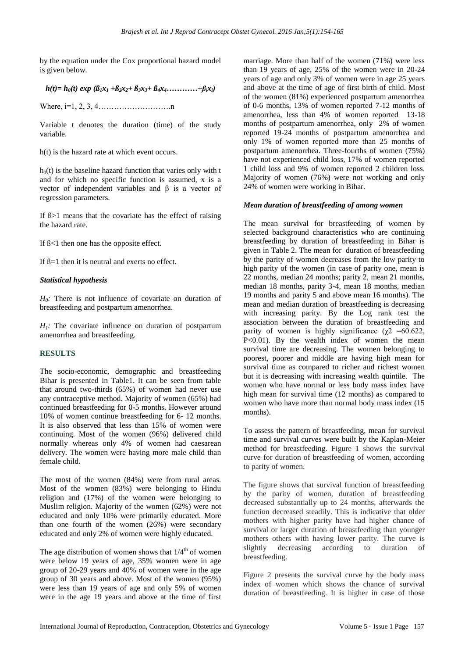by the equation under the Cox proportional hazard model is given below.

 $h(t) = h_0(t) \exp (\beta_1 x_1 + \beta_2 x_2 + \beta_3 x_3 + \beta_4 x_4 + \cdots + \beta_i x_i)$ 

Where,  $i=1, 2, 3, 4, \ldots, \ldots, \ldots, \ldots, \ldots, \ldots, \ldots$ 

Variable t denotes the duration (time) of the study variable.

h(t) is the hazard rate at which event occurs.

 $h<sub>0</sub>(t)$  is the baseline hazard function that varies only with t and for which no specific function is assumed, x is a vector of independent variables and β is a vector of regression parameters.

If ß>1 means that the covariate has the effect of raising the hazard rate.

If ß<1 then one has the opposite effect.

If  $\beta = 1$  then it is neutral and exerts no effect.

# *Statistical hypothesis*

 $H_0$ : There is not influence of covariate on duration of breastfeeding and postpartum amenorrhea.

 $H_1$ : The covariate influence on duration of postpartum amenorrhea and breastfeeding.

# **RESULTS**

The socio-economic, demographic and breastfeeding Bihar is presented in Table1. It can be seen from table that around two-thirds (65%) of women had never use any contraceptive method. Majority of women (65%) had continued breastfeeding for 0-5 months. However around 10% of women continue breastfeeding for 6- 12 months. It is also observed that less than 15% of women were continuing. Most of the women (96%) delivered child normally whereas only 4% of women had caesarean delivery. The women were having more male child than female child.

The most of the women (84%) were from rural areas. Most of the women (83%) were belonging to Hindu religion and (17%) of the women were belonging to Muslim religion. Majority of the women (62%) were not educated and only 10% were primarily educated. More than one fourth of the women (26%) were secondary educated and only 2% of women were highly educated.

The age distribution of women shows that  $1/4<sup>th</sup>$  of women were below 19 years of age, 35% women were in age group of 20-29 years and 40% of women were in the age group of 30 years and above. Most of the women (95%) were less than 19 years of age and only 5% of women were in the age 19 years and above at the time of first marriage. More than half of the women (71%) were less than 19 years of age, 25% of the women were in 20-24 years of age and only 3% of women were in age 25 years and above at the time of age of first birth of child. Most of the women (81%) experienced postpartum amenorrhea of 0-6 months, 13% of women reported 7-12 months of amenorrhea, less than 4% of women reported 13-18 months of postpartum amenorrhea, only 2% of women reported 19-24 months of postpartum amenorrhea and only 1% of women reported more than 25 months of postpartum amenorrhea. Three-fourths of women (75%) have not experienced child loss, 17% of women reported 1 child loss and 9% of women reported 2 children loss. Majority of women (76%) were not working and only 24% of women were working in Bihar.

#### *Mean duration of breastfeeding of among women*

The mean survival for breastfeeding of women by selected background characteristics who are continuing breastfeeding by duration of breastfeeding in Bihar is given in Table 2. The mean for duration of breastfeeding by the parity of women decreases from the low parity to high parity of the women (in case of parity one, mean is 22 months, median 24 months; parity 2, mean 21 months, median 18 months, parity 3-4, mean 18 months, median 19 months and parity 5 and above mean 16 months). The mean and median duration of breastfeeding is decreasing with increasing parity. By the Log rank test the association between the duration of breastfeeding and parity of women is highly significance ( $\gamma$ 2 = 60.622, P<0.01). By the wealth index of women the mean survival time are decreasing. The women belonging to poorest, poorer and middle are having high mean for survival time as compared to richer and richest women but it is decreasing with increasing wealth quintile. The women who have normal or less body mass index have high mean for survival time (12 months) as compared to women who have more than normal body mass index (15 months).

To assess the pattern of breastfeeding, mean for survival time and survival curves were built by the Kaplan-Meier method for breastfeeding. Figure 1 shows the survival curve for duration of breastfeeding of women, according to parity of women.

The figure shows that survival function of breastfeeding by the parity of women, duration of breastfeeding decreased substantially up to 24 months, afterwards the function decreased steadily. This is indicative that older mothers with higher parity have had higher chance of survival or larger duration of breastfeeding than younger mothers others with having lower parity. The curve is slightly decreasing according to duration of breastfeeding.

Figure 2 presents the survival curve by the body mass index of women which shows the chance of survival duration of breastfeeding. It is higher in case of those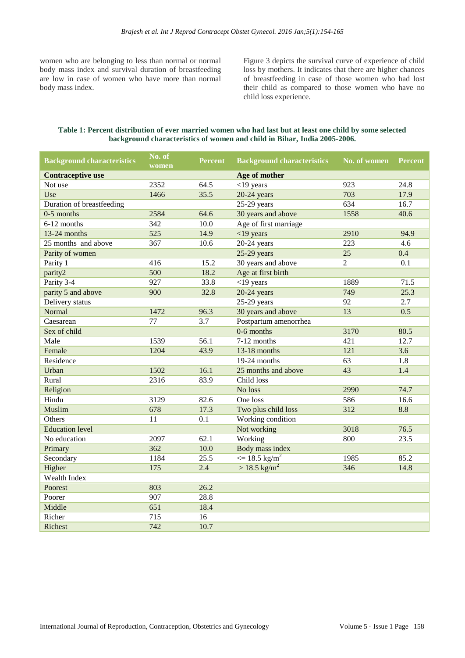women who are belonging to less than normal or normal body mass index and survival duration of breastfeeding are low in case of women who have more than normal body mass index.

Figure 3 depicts the survival curve of experience of child loss by mothers. It indicates that there are higher chances of breastfeeding in case of those women who had lost their child as compared to those women who have no child loss experience.

# **Table 1: Percent distribution of ever married women who had last but at least one child by some selected background characteristics of women and child in Bihar, India 2005-2006.**

| <b>Background characteristics</b> | No. of<br>women | <b>Percent</b>   | <b>Background characteristics</b> | No. of women   | <b>Percent</b>   |
|-----------------------------------|-----------------|------------------|-----------------------------------|----------------|------------------|
| <b>Contraceptive use</b>          |                 |                  | Age of mother                     |                |                  |
| Not use                           | 2352            | 64.5             | $<$ 19 years                      | 923            | 24.8             |
| Use                               | 1466            | 35.5             | $20-24$ years                     | 703            | 17.9             |
| Duration of breastfeeding         |                 |                  | $25-29$ years                     | 634            | 16.7             |
| $0-5$ months                      | 2584            | 64.6             | 30 years and above                | 1558           | 40.6             |
| 6-12 months                       | 342             | 10.0             | Age of first marriage             |                |                  |
| $13-24$ months                    | 525             | 14.9             | $<$ 19 years                      | 2910           | 94.9             |
| 25 months and above               | 367             | 10.6             | $20-24$ years                     | 223            | 4.6              |
| Parity of women                   |                 |                  | $25-29$ years                     | 25             | 0.4              |
| Parity 1                          | 416             | 15.2             | 30 years and above                | $\overline{2}$ | $\overline{0.1}$ |
| parity2                           | 500             | 18.2             | Age at first birth                |                |                  |
| Parity 3-4                        | 927             | 33.8             | $<$ 19 years                      | 1889           | 71.5             |
| parity 5 and above                | 900             | 32.8             | $20-24$ years                     | 749            | 25.3             |
| Delivery status                   |                 |                  | $25-29$ years                     | 92             | 2.7              |
| Normal                            | 1472            | 96.3             | 30 years and above                | 13             | 0.5              |
| Caesarean                         | 77              | $\overline{3.7}$ | Postpartum amenorrhea             |                |                  |
| Sex of child                      |                 |                  | $0-6$ months                      | 3170           | 80.5             |
| Male                              | 1539            | 56.1             | 7-12 months                       | 421            | 12.7             |
| Female                            | 1204            | 43.9             | $13-18$ months                    | 121            | $\overline{3.6}$ |
| Residence                         |                 |                  | 19-24 months<br>63                |                | 1.8              |
| Urban                             | 1502            | 16.1             | 25 months and above               | 43             | 1.4              |
| Rural                             | 2316            | 83.9             | Child loss                        |                |                  |
| Religion                          |                 |                  | No loss<br>2990                   |                | 74.7             |
| Hindu                             | 3129            | 82.6             | One loss                          | 586            | 16.6             |
| <b>Muslim</b>                     | 678             | 17.3             | Two plus child loss               | 312            | 8.8              |
| Others                            | 11              | 0.1              | Working condition                 |                |                  |
| <b>Education</b> level            |                 |                  | Not working<br>3018               |                | 76.5             |
| No education                      | 2097            | 62.1             | Working                           | 800            | 23.5             |
| Primary                           | 362             | 10.0             | Body mass index                   |                |                  |
| Secondary                         | 1184            | 25.5             | $\epsilon = 18.5 \text{ kg/m}^2$  | 1985           | 85.2             |
| Higher                            | 175             | 2.4              | $> 18.5$ kg/m <sup>2</sup>        | 346            | 14.8             |
| Wealth Index                      |                 |                  |                                   |                |                  |
| Poorest                           | 803             | 26.2             |                                   |                |                  |
| Poorer                            | 907             | 28.8             |                                   |                |                  |
| Middle                            | 651             | 18.4             |                                   |                |                  |
| Richer                            | 715             | 16               |                                   |                |                  |
| Richest                           | 742             | 10.7             |                                   |                |                  |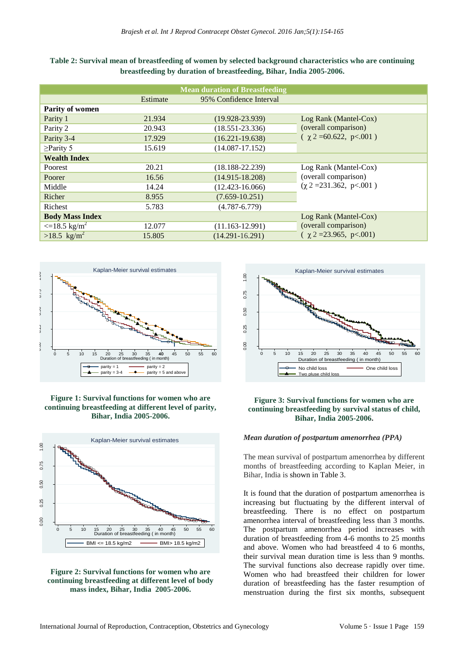| Table 2: Survival mean of breastfeeding of women by selected background characteristics who are continuing |  |
|------------------------------------------------------------------------------------------------------------|--|
| breastfeeding by duration of breastfeeding, Bihar, India 2005-2006.                                        |  |

|                                     |          | <b>Mean duration of Breastfeeding</b> |                                  |
|-------------------------------------|----------|---------------------------------------|----------------------------------|
|                                     | Estimate | 95% Confidence Interval               |                                  |
| Parity of women                     |          |                                       |                                  |
| Parity 1                            | 21.934   | $(19.928 - 23.939)$                   | Log Rank (Mantel-Cox)            |
| Parity 2                            | 20.943   | $(18.551 - 23.336)$                   | (overall comparison)             |
| Parity 3-4                          | 17.929   | $(16.221 - 19.638)$                   | $(\gamma 2 = 60.622, p < 0.001)$ |
| $\ge$ Parity 5                      | 15.619   | $(14.087 - 17.152)$                   |                                  |
| <b>Wealth Index</b>                 |          |                                       |                                  |
| Poorest                             | 20.21    | $(18.188 - 22.239)$                   | Log Rank (Mantel-Cox)            |
| Poorer                              | 16.56    | $(14.915 - 18.208)$                   | (overall comparison)             |
| Middle                              | 14.24    | $(12.423 - 16.066)$                   | $(\chi 2 = 231.362, p < .001)$   |
| Richer                              | 8.955    | $(7.659 - 10.251)$                    |                                  |
| Richest                             | 5.783    | $(4.787 - 6.779)$                     |                                  |
| <b>Body Mass Index</b>              |          |                                       | Log Rank (Mantel-Cox)            |
| $\epsilon = 18.5$ kg/m <sup>2</sup> | 12.077   | $(11.163 - 12.991)$                   | (overall comparison)             |
| $>18.5$ kg/m <sup>2</sup>           | 15.805   | $(14.291 - 16.291)$                   | $(\gamma 2 = 23.965, p < .001)$  |







**Figure 2: Survival functions for women who are continuing breastfeeding at different level of body mass index, Bihar, India 2005-2006.**



#### **Figure 3: Survival functions for women who are continuing breastfeeding by survival status of child, Bihar, India 2005-2006.**

# *Mean duration of postpartum amenorrhea (PPA)*

The mean survival of postpartum amenorrhea by different months of breastfeeding according to Kaplan Meier, in Bihar, India is shown in Table 3.

It is found that the duration of postpartum amenorrhea is increasing but fluctuating by the different interval of breastfeeding. There is no effect on postpartum amenorrhea interval of breastfeeding less than 3 months. The postpartum amenorrhea period increases with duration of breastfeeding from 4-6 months to 25 months and above. Women who had breastfeed 4 to 6 months, their survival mean duration time is less than 9 months. The survival functions also decrease rapidly over time. Women who had breastfeed their children for lower duration of breastfeeding has the faster resumption of menstruation during the first six months, subsequent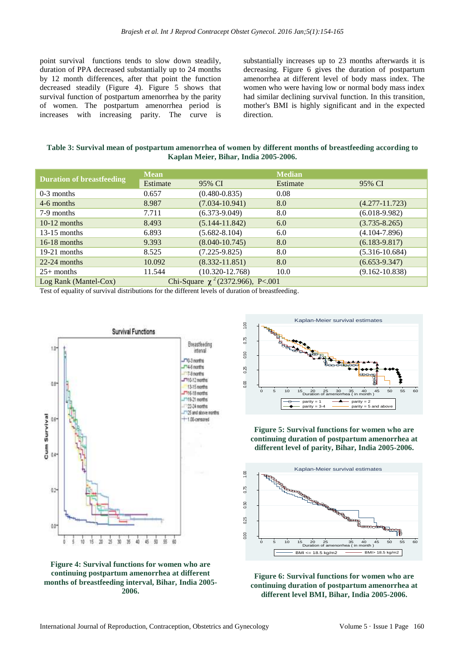point survival functions tends to slow down steadily, duration of PPA decreased substantially up to 24 months by 12 month differences, after that point the function decreased steadily (Figure 4). Figure 5 shows that survival function of postpartum amenorrhea by the parity of women. The postpartum amenorrhea period is increases with increasing parity. The curve is

substantially increases up to 23 months afterwards it is decreasing. Figure 6 gives the duration of postpartum amenorrhea at different level of body mass index. The women who were having low or normal body mass index had similar declining survival function. In this transition, mother's BMI is highly significant and in the expected direction.

**Table 3: Survival mean of postpartum amenorrhea of women by different months of breastfeeding according to Kaplan Meier, Bihar, India 2005-2006.**

| <b>Duration of breastfeeding</b>                                  | <b>Mean</b> |                     | <b>Median</b> |                    |
|-------------------------------------------------------------------|-------------|---------------------|---------------|--------------------|
|                                                                   | Estimate    | 95% CI              | Estimate      | 95% CI             |
| $0-3$ months                                                      | 0.657       | $(0.480 - 0.835)$   | 0.08          |                    |
| 4-6 months                                                        | 8.987       | $(7.034 - 10.941)$  | 8.0           | $(4.277 - 11.723)$ |
| 7-9 months                                                        | 7.711       | $(6.373-9.049)$     | 8.0           | $(6.018-9.982)$    |
| $10-12$ months                                                    | 8.493       | $(5.144 - 11.842)$  | 6.0           | $(3.735 - 8.265)$  |
| $13-15$ months                                                    | 6.893       | $(5.682 - 8.104)$   | 6.0           | $(4.104 - 7.896)$  |
| $16-18$ months                                                    | 9.393       | $(8.040 - 10.745)$  | 8.0           | $(6.183 - 9.817)$  |
| $19-21$ months                                                    | 8.525       | $(7.225 - 9.825)$   | 8.0           | $(5.316 - 10.684)$ |
| $22-24$ months                                                    | 10.092      | $(8.332 - 11.851)$  | 8.0           | $(6.653 - 9.347)$  |
| $25+$ months                                                      | 11.544      | $(10.320 - 12.768)$ | 10.0          | $(9.162 - 10.838)$ |
| Chi-Square $\chi^2$ (2372.966), P<.001<br>$Log Rank (Mantel-Cox)$ |             |                     |               |                    |

Test of equality of survival distributions for the different levels of duration of breastfeeding.



**Figure 4: Survival functions for women who are continuing postpartum amenorrhea at different months of breastfeeding interval, Bihar, India 2005- 2006.**



**Figure 5: Survival functions for women who are continuing duration of postpartum amenorrhea at different level of parity, Bihar, India 2005-2006.**



**Figure 6: Survival functions for women who are continuing duration of postpartum amenorrhea at different level BMI, Bihar, India 2005-2006.**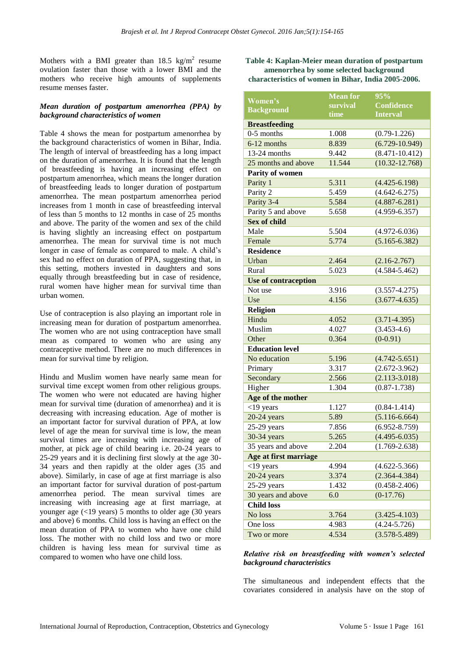Mothers with a BMI greater than  $18.5 \text{ kg/m}^2$  resume ovulation faster than those with a lower BMI and the mothers who receive high amounts of supplements resume menses faster.

### *Mean duration of postpartum amenorrhea (PPA) by background characteristics of women*

Table 4 shows the mean for postpartum amenorrhea by the background characteristics of women in Bihar, India. The length of interval of breastfeeding has a long impact on the duration of amenorrhea. It is found that the length of breastfeeding is having an increasing effect on postpartum amenorrhea, which means the longer duration of breastfeeding leads to longer duration of postpartum amenorrhea. The mean postpartum amenorrhea period increases from 1 month in case of breastfeeding interval of less than 5 months to 12 months in case of 25 months and above. The parity of the women and sex of the child is having slightly an increasing effect on postpartum amenorrhea. The mean for survival time is not much longer in case of female as compared to male. A child's sex had no effect on duration of PPA, suggesting that, in this setting, mothers invested in daughters and sons equally through breastfeeding but in case of residence, rural women have higher mean for survival time than urban women.

Use of contraception is also playing an important role in increasing mean for duration of postpartum amenorrhea. The women who are not using contraception have small mean as compared to women who are using any contraceptive method. There are no much differences in mean for survival time by religion.

Hindu and Muslim women have nearly same mean for survival time except women from other religious groups. The women who were not educated are having higher mean for survival time (duration of amenorrhea) and it is decreasing with increasing education. Age of mother is an important factor for survival duration of PPA, at low level of age the mean for survival time is low, the mean survival times are increasing with increasing age of mother, at pick age of child bearing i.e. 20-24 years to 25-29 years and it is declining first slowly at the age 30- 34 years and then rapidly at the older ages (35 and above). Similarly, in case of age at first marriage is also an important factor for survival duration of post-partum amenorrhea period. The mean survival times are increasing with increasing age at first marriage, at younger age (<19 years) 5 months to older age (30 years and above) 6 months. Child loss is having an effect on the mean duration of PPA to women who have one child loss. The mother with no child loss and two or more children is having less mean for survival time as compared to women who have one child loss.

**Table 4: Kaplan-Meier mean duration of postpartum amenorrhea by some selected background characteristics of women in Bihar, India 2005-2006.**

| Women's                | <b>Mean for</b> | 95%                |
|------------------------|-----------------|--------------------|
| <b>Background</b>      | survival        | <b>Confidence</b>  |
|                        | time            | <b>Interval</b>    |
| <b>Breastfeeding</b>   |                 |                    |
| $0-5$ months           | 1.008           | $(0.79-1.226)$     |
| 6-12 months            | 8.839           | $(6.729 - 10.949)$ |
| 13-24 months           | 9.442           | $(8.471 - 10.412)$ |
| 25 months and above    | 11.544          | $(10.32 - 12.768)$ |
| Parity of women        |                 |                    |
| Parity 1               | 5.311           | $(4.425 - 6.198)$  |
| Parity 2               | 5.459           | $(4.642 - 6.275)$  |
| Parity 3-4             | 5.584           | $(4.887 - 6.281)$  |
| Parity 5 and above     | 5.658           | $(4.959 - 6.357)$  |
| <b>Sex of child</b>    |                 |                    |
| Male                   | 5.504           | $(4.972 - 6.036)$  |
| Female                 | 5.774           | $(5.165 - 6.382)$  |
| <b>Residence</b>       |                 |                    |
| Urban                  | 2.464           | $(2.16 - 2.767)$   |
| Rural                  | 5.023           | $(4.584 - 5.462)$  |
| Use of contraception   |                 |                    |
| Not use                | 3.916           | $(3.557 - 4.275)$  |
| Use                    | 4.156           | $(3.677 - 4.635)$  |
| Religion               |                 |                    |
| Hindu                  | 4.052           | $(3.71 - 4.395)$   |
| Muslim                 | 4.027           | $(3.453 - 4.6)$    |
| Other                  | 0.364           | $(0-0.91)$         |
| <b>Education level</b> |                 |                    |
| No education           | 5.196           | $(4.742 - 5.651)$  |
| Primary                | 3.317           | $(2.672 - 3.962)$  |
| Secondary              | 2.566           | $(2.113 - 3.018)$  |
| Higher                 | 1.304           | $(0.87 - 1.738)$   |
| Age of the mother      |                 |                    |
| $<$ 19 years           | 1.127           | $(0.84 - 1.414)$   |
| $20-24$ years          | 5.89            | $(5.116 - 6.664)$  |
| $25-29$ years          | 7.856           | $(6.952 - 8.759)$  |
| 30-34 years            | 5.265           | $(4.495 - 6.035)$  |
| 35 years and above     | 2.204           | $(1.769 - 2.638)$  |
| Age at first marriage  |                 |                    |
| $<$ 19 years           | 4.994           | $(4.622 - 5.366)$  |
| $20-24$ years          | 3.374           | $(2.364 - 4.384)$  |
| $25-29$ years          | 1.432           | $(0.458 - 2.406)$  |
| 30 years and above     | 6.0             | $(0-17.76)$        |
| <b>Child loss</b>      |                 |                    |
| No loss                | 3.764           | $(3.425 - 4.103)$  |
| One loss               | 4.983           | $(4.24 - 5.726)$   |
| Two or more            | 4.534           | $(3.578 - 5.489)$  |

### *Relative risk on breastfeeding with women's selected background characteristics*

The simultaneous and independent effects that the covariates considered in analysis have on the stop of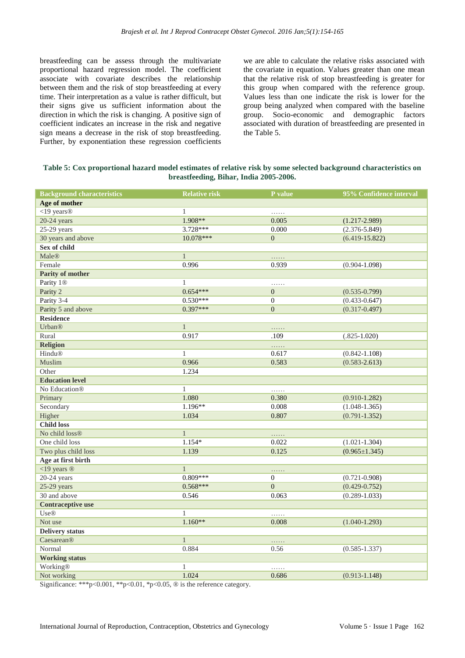breastfeeding can be assess through the multivariate proportional hazard regression model. The coefficient associate with covariate describes the relationship between them and the risk of stop breastfeeding at every time. Their interpretation as a value is rather difficult, but their signs give us sufficient information about the direction in which the risk is changing. A positive sign of coefficient indicates an increase in the risk and negative sign means a decrease in the risk of stop breastfeeding. Further, by exponentiation these regression coefficients we are able to calculate the relative risks associated with the covariate in equation. Values greater than one mean that the relative risk of stop breastfeeding is greater for this group when compared with the reference group. Values less than one indicate the risk is lower for the group being analyzed when compared with the baseline group. Socio-economic and demographic factors associated with duration of breastfeeding are presented in the Table 5.

| Table 5: Cox proportional hazard model estimates of relative risk by some selected background characteristics on |
|------------------------------------------------------------------------------------------------------------------|
| breastfeeding, Bihar, India 2005-2006.                                                                           |

| <b>Background characteristics</b> | <b>Relative risk</b> | P value          | 95% Confidence interval |
|-----------------------------------|----------------------|------------------|-------------------------|
| Age of mother                     |                      |                  |                         |
| <19 years®                        | $\mathbf{1}$         | .                |                         |
| $20-24$ years                     | $1.908**$            | 0.005            | $(1.217 - 2.989)$       |
| $25-29$ years                     | $3.728***$           | 0.000            | $(2.376 - 5.849)$       |
| 30 years and above                | 10.078***            | $\boldsymbol{0}$ | $(6.419 - 15.822)$      |
| Sex of child                      |                      |                  |                         |
| <b>Male®</b>                      | $\mathbf{1}$         | .                |                         |
| Female                            | 0.996                | 0.939            | $(0.904 - 1.098)$       |
| <b>Parity of mother</b>           |                      |                  |                         |
| Parity 1 <sup>®</sup>             | $\mathbf{1}$         | .                |                         |
| Parity 2                          | $0.654***$           | $\mathbf{0}$     | $(0.535 - 0.799)$       |
| Parity 3-4                        | $0.530***$           | $\overline{0}$   | $(0.433 - 0.647)$       |
| Parity 5 and above                | $0.397***$           | $\boldsymbol{0}$ | $(0.317 - 0.497)$       |
| <b>Residence</b>                  |                      |                  |                         |
| <b>Urban®</b>                     | $\mathbf{1}$         | .                |                         |
| Rural                             | 0.917                | .109             | $(.825-1.020)$          |
| <b>Religion</b>                   |                      | .                |                         |
| Hindu®                            | $\mathbf{1}$         | 0.617            | $(0.842 - 1.108)$       |
| <b>Muslim</b>                     | 0.966                | 0.583            | $(0.583 - 2.613)$       |
| Other                             | 1.234                |                  |                         |
| <b>Education level</b>            |                      |                  |                         |
| No Education <sup>®</sup>         | $\mathbf{1}$         | .                |                         |
| Primary                           | 1.080                | 0.380            | $(0.910 - 1.282)$       |
| Secondary                         | $1.196**$            | 0.008            | $(1.048 - 1.365)$       |
| Higher                            | 1.034                | 0.807            | $(0.791 - 1.352)$       |
| <b>Child loss</b>                 |                      |                  |                         |
| No child loss®                    | $\mathbf{1}$         | .                |                         |
| One child loss                    | $1.154*$             | 0.022            | $(1.021 - 1.304)$       |
| Two plus child loss               | 1.139                | 0.125            | $(0.965 \pm 1.345)$     |
| Age at first birth                |                      |                  |                         |
| $<$ 19 years $\circledR$          | $\mathbf{1}$         | .                |                         |
| $20-24$ years                     | $0.809***$           | $\mathbf{0}$     | $(0.721 - 0.908)$       |
| $25-29$ years                     | $0.568***$           | $\overline{0}$   | $(0.429 - 0.752)$       |
| 30 and above                      | 0.546                | 0.063            | $(0.289 - 1.033)$       |
| <b>Contraceptive use</b>          |                      |                  |                         |
| <b>Use®</b>                       | $\mathbf{1}$         | .                |                         |
| Not use                           | $1.160**$            | 0.008            | $(1.040 - 1.293)$       |
| <b>Delivery status</b>            |                      |                  |                         |
| Caesarean®                        | $\mathbf{1}$         | .                |                         |
| Normal                            | 0.884                | 0.56             | $(0.585 - 1.337)$       |
| <b>Working status</b>             |                      |                  |                         |
| Working®                          | $\mathbf{1}$         | .                |                         |
| Not working                       | 1.024                | 0.686            | $(0.913 - 1.148)$       |

Significance: \*\*\*p<0.001, \*\*p<0.01, \*p<0.05,  $\circledR$  is the reference category.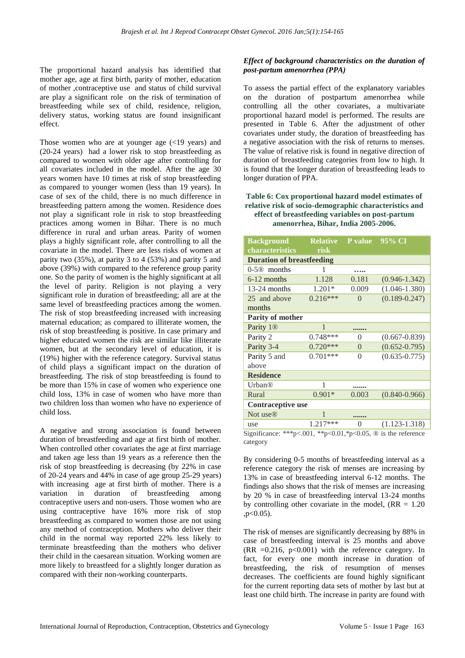The proportional hazard analysis has identified that mother age, age at first birth, parity of mother, education of mother ,contraceptive use and status of child survival are play a significant role on the risk of termination of breastfeeding while sex of child, residence, religion, delivery status, working status are found insignificant effect.

Those women who are at younger age (<19 years) and (20-24 years) had a lower risk to stop breastfeeding as compared to women with older age after controlling for all covariates included in the model. After the age 30 years women have 10 times at risk of stop breastfeeding as compared to younger women (less than 19 years). In case of sex of the child, there is no much difference in breastfeeding pattern among the women. Residence does not play a significant role in risk to stop breastfeeding practices among women in Bihar. There is no much difference in rural and urban areas. Parity of women plays a highly significant role, after controlling to all the covariate in the model. There are less risks of women at parity two (35%), at parity 3 to 4 (53%) and parity 5 and above (39%) with compared to the reference group parity one. So the parity of women is the highly significant at all the level of parity. Religion is not playing a very significant role in duration of breastfeeding; all are at the same level of breastfeeding practices among the women. The risk of stop breastfeeding increased with increasing maternal education; as compared to illiterate women, the risk of stop breastfeeding is positive. In case primary and higher educated women the risk are similar like illiterate women, but at the secondary level of education, it is (19%) higher with the reference category. Survival status of child plays a significant impact on the duration of breastfeeding. The risk of stop breastfeeding is found to be more than 15% in case of women who experience one child loss, 13% in case of women who have more than two children loss than women who have no experience of child loss.

A negative and strong association is found between duration of breastfeeding and age at first birth of mother. When controlled other covariates the age at first marriage and taken age less than 19 years as a reference then the risk of stop breastfeeding is decreasing (by 22% in case of 20-24 years and 44% in case of age group 25-29 years) with increasing age at first birth of mother. There is a variation in duration of breastfeeding among contraceptive users and non-users. Those women who are using contraceptive have 16% more risk of stop breastfeeding as compared to women those are not using any method of contraception. Mothers who deliver their child in the normal way reported 22% less likely to terminate breastfeeding than the mothers who deliver their child in the caesarean situation. Working women are more likely to breastfeed for a slightly longer duration as compared with their non-working counterparts.

# *Effect of background characteristics on the duration of post-partum amenorrhea (PPA)*

To assess the partial effect of the explanatory variables on the duration of postpartum amenorrhea while controlling all the other covariates, a multivariate proportional hazard model is performed. The results are presented in Table 6. After the adjustment of other covariates under study, the duration of breastfeeding has a negative association with the risk of returns to menses. The value of relative risk is found in negative direction of duration of breastfeeding categories from low to high. It is found that the longer duration of breastfeeding leads to longer duration of PPA.

# **Table 6: Cox proportional hazard model estimates of relative risk of socio-demographic characteristics and effect of breastfeeding variables on post-partum amenorrhea, Bihar, India 2005-2006.**

| <b>Background</b>                                                       | <b>Relative</b> | <b>P</b> value | 95% CI            |  |  |
|-------------------------------------------------------------------------|-----------------|----------------|-------------------|--|--|
| characteristics                                                         | risk            |                |                   |  |  |
| <b>Duration of breastfeeding</b>                                        |                 |                |                   |  |  |
| $0-5®$ months                                                           | 1               |                |                   |  |  |
| 6-12 months                                                             | 1.128           | 0.181          | $(0.946 - 1.342)$ |  |  |
| 13-24 months                                                            | 1.201*          | 0.009          | $(1.046 - 1.380)$ |  |  |
| 25 and above                                                            | $0.216***$      | $\overline{0}$ | $(0.189 - 0.247)$ |  |  |
| months                                                                  |                 |                |                   |  |  |
| <b>Parity of mother</b>                                                 |                 |                |                   |  |  |
| Parity 1 <sup>®</sup>                                                   | 1               | 0000000        |                   |  |  |
| Parity 2                                                                | $0.748***$      | 0              | $(0.667 - 0.839)$ |  |  |
| Parity 3-4                                                              | $0.720***$      | $\Omega$       | $(0.652 - 0.795)$ |  |  |
| Parity 5 and                                                            | $0.701***$      | $\theta$       | $(0.635 - 0.775)$ |  |  |
| above                                                                   |                 |                |                   |  |  |
| <b>Residence</b>                                                        |                 |                |                   |  |  |
| Urban®                                                                  | 1               |                |                   |  |  |
| Rural                                                                   | $0.901*$        | 0.003          | $(0.840 - 0.966)$ |  |  |
| Contraceptive use                                                       |                 |                |                   |  |  |
| Not use <sup>®</sup>                                                    | 1               |                |                   |  |  |
| use                                                                     | 1.217***        | $\overline{0}$ | $(1.123 - 1.318)$ |  |  |
| Significance: ***p<.001, **p<0.01,*p<0.05, $\circledR$ is the reference |                 |                |                   |  |  |

category

By considering 0-5 months of breastfeeding interval as a reference category the risk of menses are increasing by 13% in case of breastfeeding interval 6-12 months. The findings also shows that the risk of menses are increasing by 20 % in case of breastfeeding interval 13-24 months by controlling other covariate in the model,  $(RR = 1.20)$  $,p < 0.05$ ).

The risk of menses are significantly decreasing by 88% in case of breastfeeding interval is 25 months and above  $(RR = 0.216, p < 0.001)$  with the reference category. In fact, for every one month increase in duration of breastfeeding, the risk of resumption of menses decreases. The coefficients are found highly significant for the current reporting data sets of mother by last but at least one child birth. The increase in parity are found with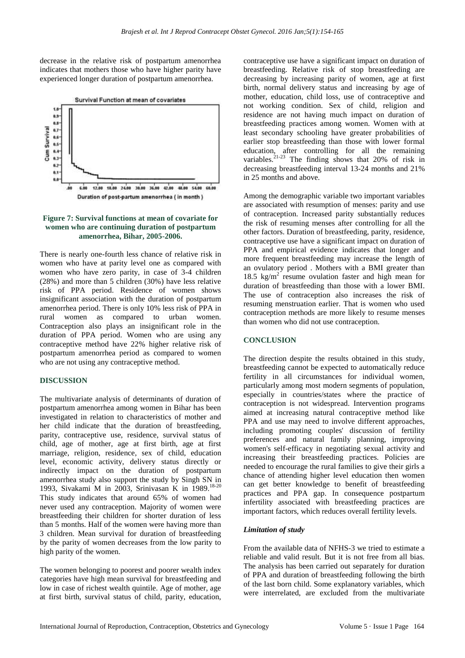decrease in the relative risk of postpartum amenorrhea indicates that mothers those who have higher parity have experienced longer duration of postpartum amenorrhea.



#### **Figure 7: Survival functions at mean of covariate for women who are continuing duration of postpartum amenorrhea, Bihar, 2005-2006.**

There is nearly one-fourth less chance of relative risk in women who have at parity level one as compared with women who have zero parity, in case of 3-4 children (28%) and more than 5 children (30%) have less relative risk of PPA period. Residence of women shows insignificant association with the duration of postpartum amenorrhea period. There is only 10% less risk of PPA in rural women as compared to urban women. Contraception also plays an insignificant role in the duration of PPA period. Women who are using any contraceptive method have 22% higher relative risk of postpartum amenorrhea period as compared to women who are not using any contraceptive method.

# **DISCUSSION**

The multivariate analysis of determinants of duration of postpartum amenorrhea among women in Bihar has been investigated in relation to characteristics of mother and her child indicate that the duration of breastfeeding, parity, contraceptive use, residence, survival status of child, age of mother, age at first birth, age at first marriage, religion, residence, sex of child, education level, economic activity, delivery status directly or indirectly impact on the duration of postpartum amenorrhea study also support the study by Singh SN in 1993, Sivakami M in 2003, Srinivasan K in 1989. 18-20 This study indicates that around 65% of women had never used any contraception. Majority of women were breastfeeding their children for shorter duration of less than 5 months. Half of the women were having more than 3 children. Mean survival for duration of breastfeeding by the parity of women decreases from the low parity to high parity of the women.

The women belonging to poorest and poorer wealth index categories have high mean survival for breastfeeding and low in case of richest wealth quintile. Age of mother, age at first birth, survival status of child, parity, education,

contraceptive use have a significant impact on duration of breastfeeding. Relative risk of stop breastfeeding are decreasing by increasing parity of women, age at first birth, normal delivery status and increasing by age of mother, education, child loss, use of contraceptive and not working condition. Sex of child, religion and residence are not having much impact on duration of breastfeeding practices among women. Women with at least secondary schooling have greater probabilities of earlier stop breastfeeding than those with lower formal education, after controlling for all the remaining variables.<sup>21-23</sup> The finding shows that 20% of risk in decreasing breastfeeding interval 13-24 months and 21% in 25 months and above.

Among the demographic variable two important variables are associated with resumption of menses: parity and use of contraception. Increased parity substantially reduces the risk of resuming menses after controlling for all the other factors. Duration of breastfeeding, parity, residence, contraceptive use have a significant impact on duration of PPA and empirical evidence indicates that longer and more frequent breastfeeding may increase the length of an ovulatory period . Mothers with a BMI greater than 18.5  $\text{kg/m}^2$  resume ovulation faster and high mean for duration of breastfeeding than those with a lower BMI. The use of contraception also increases the risk of resuming menstruation earlier. That is women who used contraception methods are more likely to resume menses than women who did not use contraception.

#### **CONCLUSION**

The direction despite the results obtained in this study, breastfeeding cannot be expected to automatically reduce fertility in all circumstances for individual women, particularly among most modern segments of population, especially in countries/states where the practice of contraception is not widespread. Intervention programs aimed at increasing natural contraceptive method like PPA and use may need to involve different approaches, including promoting couples' discussion of fertility preferences and natural family planning, improving women's self-efficacy in negotiating sexual activity and increasing their breastfeeding practices. Policies are needed to encourage the rural families to give their girls a chance of attending higher level education then women can get better knowledge to benefit of breastfeeding practices and PPA gap. In consequence postpartum infertility associated with breastfeeding practices are important factors, which reduces overall fertility levels.

#### *Limitation of study*

From the available data of NFHS-3 we tried to estimate a reliable and valid result. But it is not free from all bias. The analysis has been carried out separately for duration of PPA and duration of breastfeeding following the birth of the last born child. Some explanatory variables, which were interrelated, are excluded from the multivariate